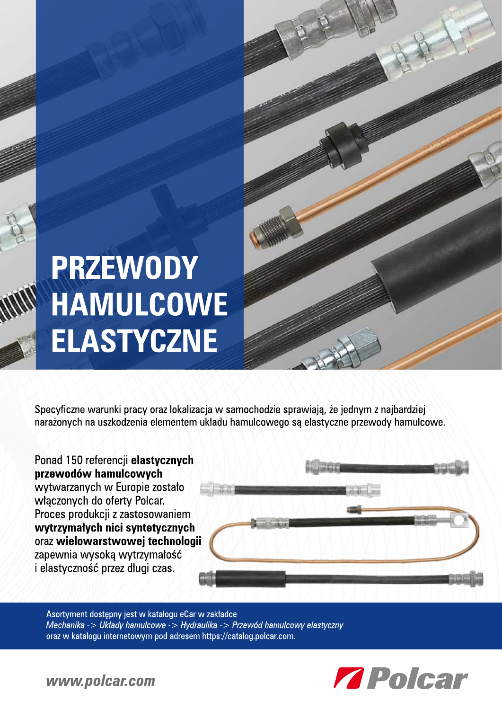## **PRZEWODY** HAMULCOWE **ELASTYCZNE**

Specyficzne warunki pracy oraz lokalizacja w samochodzie sprawiają, że jednym z najbardziej narażonych na uszkodzenia elementem układu hamulcowego są elastyczne przewody hamulcowe.

Ponad 150 referencji elastycznych przewodów hamulcowych wytwarzanych w Europie zostało włączonych do oferty Polcar. Proces produkcji z zastosowaniem wytrzymałych nici syntetycznych oraz wielowarstwowej technologii zapewnia wysoką wytrzymałość i elastyczność przez długi czas.



Asortyment dostępny jest w katalogu eCar w zakładce Mechanika -> Układy hamulcowe -> Hydraulika -> Przewód hamulcowy elastyczny oraz w katalogu internetowym pod adresem https://catalog.polcar.com.



www.polcar.com